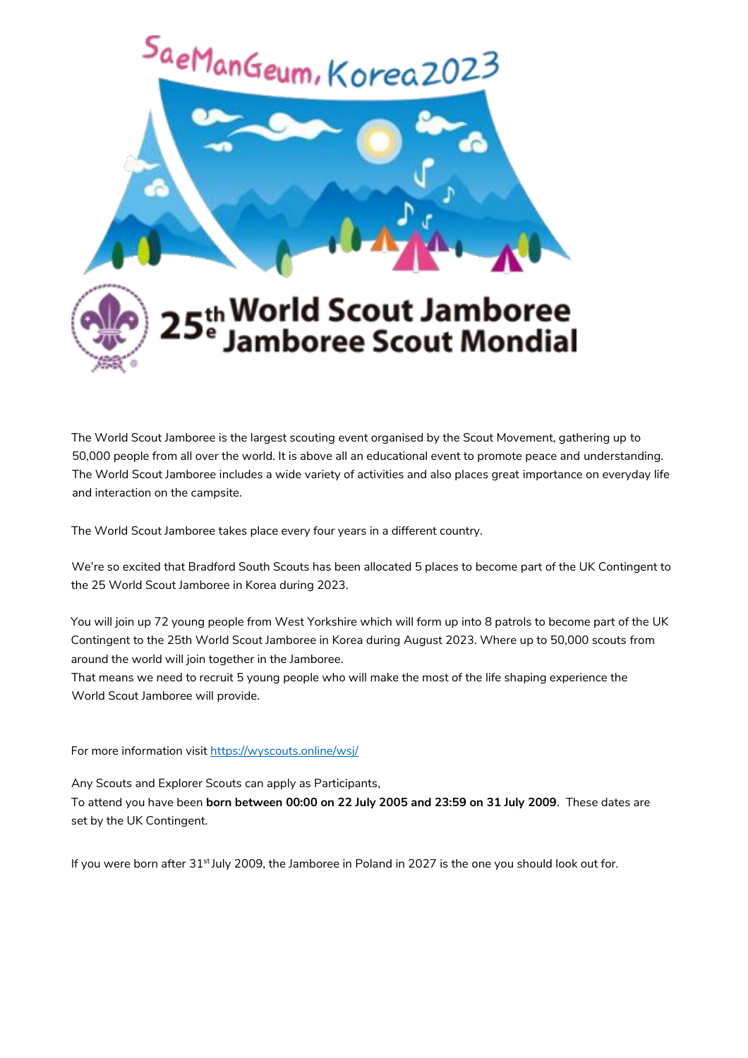

The World Scout Jamboree is the largest scouting event organised by the Scout Movement, gathering up to 50,000 people from all over the world. It is above all an educational event to promote peace and understanding. The World Scout Jamboree includes a wide variety of activities and also places great importance on everyday life and interaction on the campsite.

The World Scout Jamboree takes place every four years in a different country.

We're so excited that Bradford South Scouts has been allocated 5 places to become part of the UK Contingent to the 25 World Scout Jamboree in Korea during 2023.

You will join up 72 young people from West Yorkshire which will form up into 8 patrols to become part of the UK Contingent to the 25th World Scout Jamboree in Korea during August 2023. Where up to 50,000 scouts from around the world will join together in the Jamboree.

That means we need to recruit 5 young people who will make the most of the life shaping experience the World Scout Jamboree will provide.

For more information visit https://wyscouts.online/wsj/

Any Scouts and Explorer Scouts can apply as Participants,

To attend you have been **born between 00:00 on 22 July 2005 and 23:59 on 31 July 2009**. These dates are set by the UK Contingent.

If you were born after  $31<sup>st</sup>$  July 2009, the Jamboree in Poland in 2027 is the one you should look out for.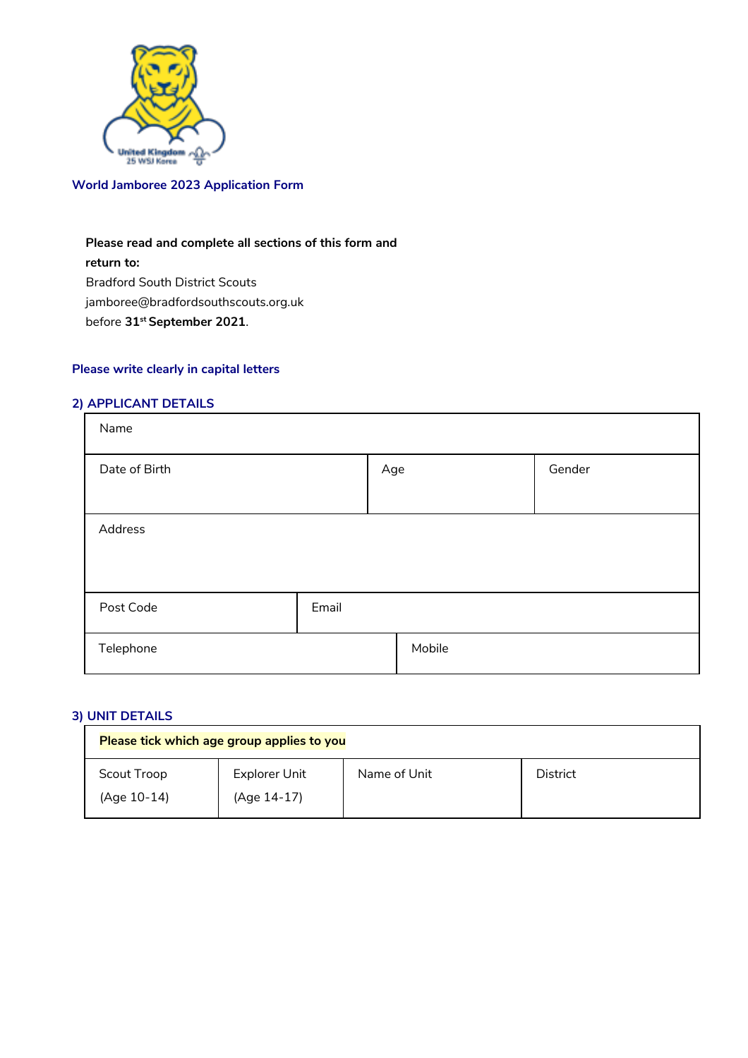

### **World Jamboree 2023 Application Form**

## **Please read and complete all sections of this form and**

**return to:**  Bradford South District Scouts jamboree@bradfordsouthscouts.org.uk before **31st September 2021**.

# **Please write clearly in capital letters**

#### **2) APPLICANT DETAILS**

| Name          |       |        |        |  |
|---------------|-------|--------|--------|--|
| Date of Birth |       | Age    | Gender |  |
| Address       |       |        |        |  |
| Post Code     | Email |        |        |  |
| Telephone     |       | Mobile |        |  |

#### **3) UNIT DETAILS**

| Please tick which age group applies to you |               |              |          |  |  |
|--------------------------------------------|---------------|--------------|----------|--|--|
| Scout Troop                                | Explorer Unit | Name of Unit | District |  |  |
| (Age 10-14)                                | (Age 14-17)   |              |          |  |  |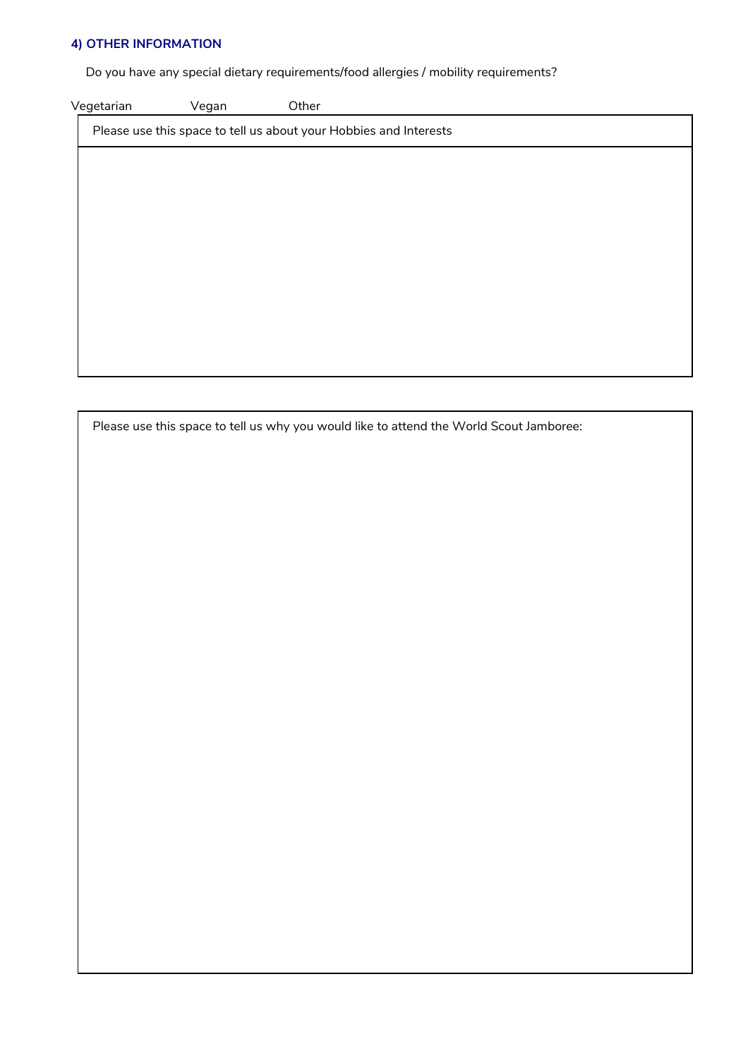#### **4) OTHER INFORMATION**

Do you have any special dietary requirements/food allergies / mobility requirements?

Vegetarian Vegan Other

Please use this space to tell us about your Hobbies and Interests

Please use this space to tell us why you would like to attend the World Scout Jamboree: